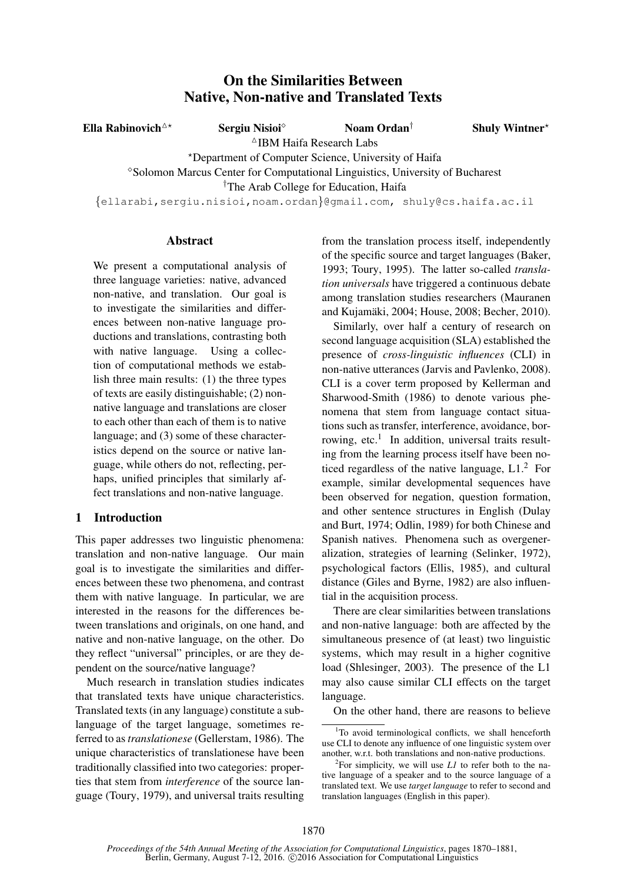# On the Similarities Between Native, Non-native and Translated Texts

Ella Rabinovich<sup> $\triangle^{\star}$ </sup> Sergiu Nisioi Noam Ordan<sup>†</sup> Shuly Wintner<sup>\*</sup>  $^{\triangle}$ IBM Haifa Research Labs ?Department of Computer Science, University of Haifa Solomon Marcus Center for Computational Linguistics, University of Bucharest †The Arab College for Education, Haifa {ellarabi,sergiu.nisioi,noam.ordan}@gmail.com, shuly@cs.haifa.ac.il

### Abstract

We present a computational analysis of three language varieties: native, advanced non-native, and translation. Our goal is to investigate the similarities and differences between non-native language productions and translations, contrasting both with native language. Using a collection of computational methods we establish three main results: (1) the three types of texts are easily distinguishable; (2) nonnative language and translations are closer to each other than each of them is to native language; and (3) some of these characteristics depend on the source or native language, while others do not, reflecting, perhaps, unified principles that similarly affect translations and non-native language.

## 1 Introduction

This paper addresses two linguistic phenomena: translation and non-native language. Our main goal is to investigate the similarities and differences between these two phenomena, and contrast them with native language. In particular, we are interested in the reasons for the differences between translations and originals, on one hand, and native and non-native language, on the other. Do they reflect "universal" principles, or are they dependent on the source/native language?

Much research in translation studies indicates that translated texts have unique characteristics. Translated texts (in any language) constitute a sublanguage of the target language, sometimes referred to as*translationese* (Gellerstam, 1986). The unique characteristics of translationese have been traditionally classified into two categories: properties that stem from *interference* of the source language (Toury, 1979), and universal traits resulting from the translation process itself, independently of the specific source and target languages (Baker, 1993; Toury, 1995). The latter so-called *translation universals* have triggered a continuous debate among translation studies researchers (Mauranen and Kujamaki, 2004; House, 2008; Becher, 2010). ¨

Similarly, over half a century of research on second language acquisition (SLA) established the presence of *cross-linguistic influences* (CLI) in non-native utterances (Jarvis and Pavlenko, 2008). CLI is a cover term proposed by Kellerman and Sharwood-Smith (1986) to denote various phenomena that stem from language contact situations such as transfer, interference, avoidance, borrowing, etc.<sup>1</sup> In addition, universal traits resulting from the learning process itself have been noticed regardless of the native language,  $L1<sup>2</sup>$  For example, similar developmental sequences have been observed for negation, question formation, and other sentence structures in English (Dulay and Burt, 1974; Odlin, 1989) for both Chinese and Spanish natives. Phenomena such as overgeneralization, strategies of learning (Selinker, 1972), psychological factors (Ellis, 1985), and cultural distance (Giles and Byrne, 1982) are also influential in the acquisition process.

There are clear similarities between translations and non-native language: both are affected by the simultaneous presence of (at least) two linguistic systems, which may result in a higher cognitive load (Shlesinger, 2003). The presence of the L1 may also cause similar CLI effects on the target language.

On the other hand, there are reasons to believe

<sup>&</sup>lt;sup>1</sup>To avoid terminological conflicts, we shall henceforth use CLI to denote any influence of one linguistic system over another, w.r.t. both translations and non-native productions.

<sup>&</sup>lt;sup>2</sup>For simplicity, we will use  $LI$  to refer both to the native language of a speaker and to the source language of a translated text. We use *target language* to refer to second and translation languages (English in this paper).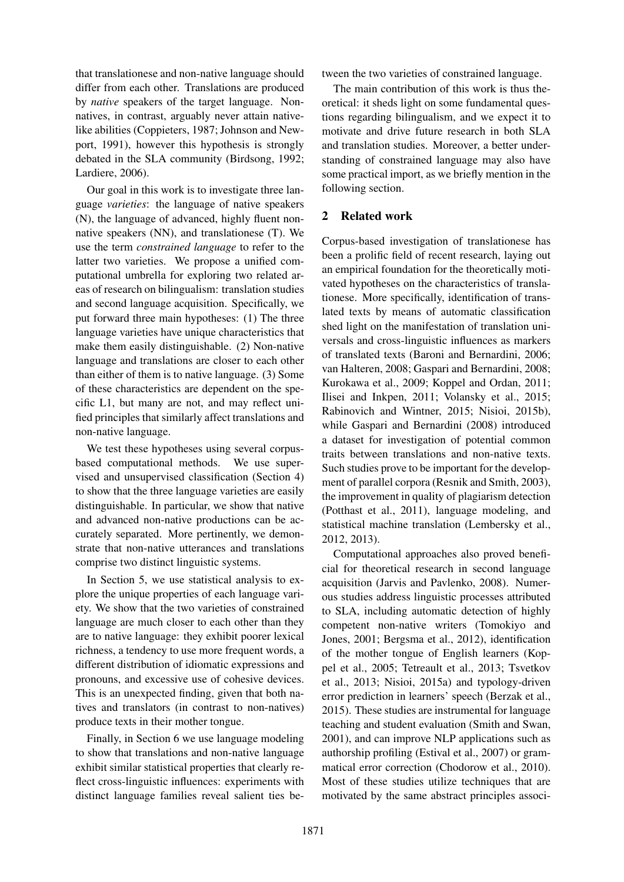that translationese and non-native language should differ from each other. Translations are produced by *native* speakers of the target language. Nonnatives, in contrast, arguably never attain nativelike abilities (Coppieters, 1987; Johnson and Newport, 1991), however this hypothesis is strongly debated in the SLA community (Birdsong, 1992; Lardiere, 2006).

Our goal in this work is to investigate three language *varieties*: the language of native speakers (N), the language of advanced, highly fluent nonnative speakers (NN), and translationese (T). We use the term *constrained language* to refer to the latter two varieties. We propose a unified computational umbrella for exploring two related areas of research on bilingualism: translation studies and second language acquisition. Specifically, we put forward three main hypotheses: (1) The three language varieties have unique characteristics that make them easily distinguishable. (2) Non-native language and translations are closer to each other than either of them is to native language. (3) Some of these characteristics are dependent on the specific L1, but many are not, and may reflect unified principles that similarly affect translations and non-native language.

We test these hypotheses using several corpusbased computational methods. We use supervised and unsupervised classification (Section 4) to show that the three language varieties are easily distinguishable. In particular, we show that native and advanced non-native productions can be accurately separated. More pertinently, we demonstrate that non-native utterances and translations comprise two distinct linguistic systems.

In Section 5, we use statistical analysis to explore the unique properties of each language variety. We show that the two varieties of constrained language are much closer to each other than they are to native language: they exhibit poorer lexical richness, a tendency to use more frequent words, a different distribution of idiomatic expressions and pronouns, and excessive use of cohesive devices. This is an unexpected finding, given that both natives and translators (in contrast to non-natives) produce texts in their mother tongue.

Finally, in Section 6 we use language modeling to show that translations and non-native language exhibit similar statistical properties that clearly reflect cross-linguistic influences: experiments with distinct language families reveal salient ties between the two varieties of constrained language.

The main contribution of this work is thus theoretical: it sheds light on some fundamental questions regarding bilingualism, and we expect it to motivate and drive future research in both SLA and translation studies. Moreover, a better understanding of constrained language may also have some practical import, as we briefly mention in the following section.

## 2 Related work

Corpus-based investigation of translationese has been a prolific field of recent research, laying out an empirical foundation for the theoretically motivated hypotheses on the characteristics of translationese. More specifically, identification of translated texts by means of automatic classification shed light on the manifestation of translation universals and cross-linguistic influences as markers of translated texts (Baroni and Bernardini, 2006; van Halteren, 2008; Gaspari and Bernardini, 2008; Kurokawa et al., 2009; Koppel and Ordan, 2011; Ilisei and Inkpen, 2011; Volansky et al., 2015; Rabinovich and Wintner, 2015; Nisioi, 2015b), while Gaspari and Bernardini (2008) introduced a dataset for investigation of potential common traits between translations and non-native texts. Such studies prove to be important for the development of parallel corpora (Resnik and Smith, 2003), the improvement in quality of plagiarism detection (Potthast et al., 2011), language modeling, and statistical machine translation (Lembersky et al., 2012, 2013).

Computational approaches also proved beneficial for theoretical research in second language acquisition (Jarvis and Pavlenko, 2008). Numerous studies address linguistic processes attributed to SLA, including automatic detection of highly competent non-native writers (Tomokiyo and Jones, 2001; Bergsma et al., 2012), identification of the mother tongue of English learners (Koppel et al., 2005; Tetreault et al., 2013; Tsvetkov et al., 2013; Nisioi, 2015a) and typology-driven error prediction in learners' speech (Berzak et al., 2015). These studies are instrumental for language teaching and student evaluation (Smith and Swan, 2001), and can improve NLP applications such as authorship profiling (Estival et al., 2007) or grammatical error correction (Chodorow et al., 2010). Most of these studies utilize techniques that are motivated by the same abstract principles associ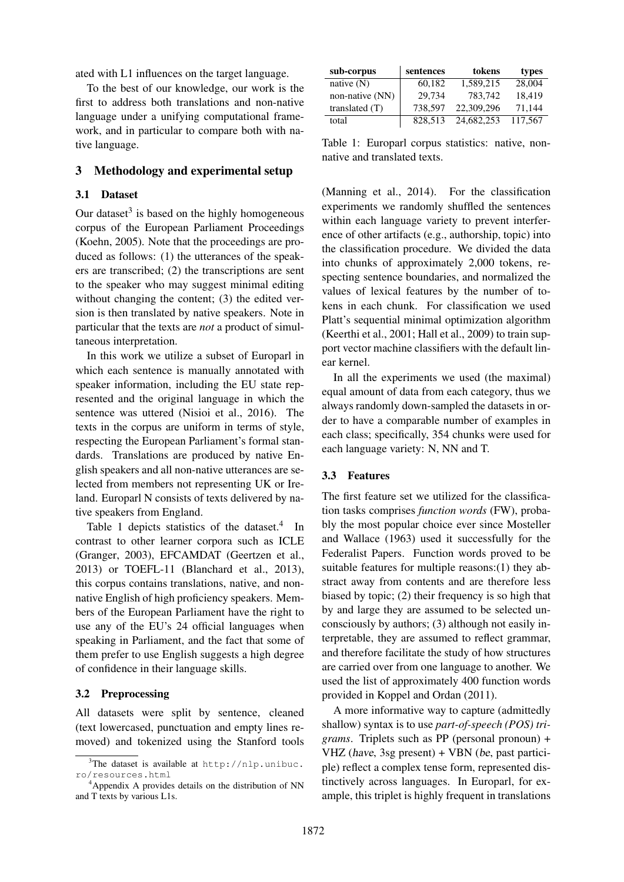ated with L1 influences on the target language.

To the best of our knowledge, our work is the first to address both translations and non-native language under a unifying computational framework, and in particular to compare both with native language.

### 3 Methodology and experimental setup

#### 3.1 Dataset

Our dataset $3$  is based on the highly homogeneous corpus of the European Parliament Proceedings (Koehn, 2005). Note that the proceedings are produced as follows: (1) the utterances of the speakers are transcribed; (2) the transcriptions are sent to the speaker who may suggest minimal editing without changing the content; (3) the edited version is then translated by native speakers. Note in particular that the texts are *not* a product of simultaneous interpretation.

In this work we utilize a subset of Europarl in which each sentence is manually annotated with speaker information, including the EU state represented and the original language in which the sentence was uttered (Nisioi et al., 2016). The texts in the corpus are uniform in terms of style, respecting the European Parliament's formal standards. Translations are produced by native English speakers and all non-native utterances are selected from members not representing UK or Ireland. Europarl N consists of texts delivered by native speakers from England.

Table 1 depicts statistics of the dataset. $4$  In contrast to other learner corpora such as ICLE (Granger, 2003), EFCAMDAT (Geertzen et al., 2013) or TOEFL-11 (Blanchard et al., 2013), this corpus contains translations, native, and nonnative English of high proficiency speakers. Members of the European Parliament have the right to use any of the EU's 24 official languages when speaking in Parliament, and the fact that some of them prefer to use English suggests a high degree of confidence in their language skills.

#### 3.2 Preprocessing

All datasets were split by sentence, cleaned (text lowercased, punctuation and empty lines removed) and tokenized using the Stanford tools

| sub-corpus       | sentences | tokens     | types   |
|------------------|-----------|------------|---------|
| native $(N)$     | 60,182    | 1.589.215  | 28,004  |
| non-native (NN)  | 29.734    | 783.742    | 18,419  |
| translated $(T)$ | 738.597   | 22,309,296 | 71,144  |
| total            | 828.513   | 24,682,253 | 117,567 |

Table 1: Europarl corpus statistics: native, nonnative and translated texts.

(Manning et al., 2014). For the classification experiments we randomly shuffled the sentences within each language variety to prevent interference of other artifacts (e.g., authorship, topic) into the classification procedure. We divided the data into chunks of approximately 2,000 tokens, respecting sentence boundaries, and normalized the values of lexical features by the number of tokens in each chunk. For classification we used Platt's sequential minimal optimization algorithm (Keerthi et al., 2001; Hall et al., 2009) to train support vector machine classifiers with the default linear kernel.

In all the experiments we used (the maximal) equal amount of data from each category, thus we always randomly down-sampled the datasets in order to have a comparable number of examples in each class; specifically, 354 chunks were used for each language variety: N, NN and T.

#### 3.3 Features

The first feature set we utilized for the classification tasks comprises *function words* (FW), probably the most popular choice ever since Mosteller and Wallace (1963) used it successfully for the Federalist Papers. Function words proved to be suitable features for multiple reasons:(1) they abstract away from contents and are therefore less biased by topic; (2) their frequency is so high that by and large they are assumed to be selected unconsciously by authors; (3) although not easily interpretable, they are assumed to reflect grammar, and therefore facilitate the study of how structures are carried over from one language to another. We used the list of approximately 400 function words provided in Koppel and Ordan (2011).

A more informative way to capture (admittedly shallow) syntax is to use *part-of-speech (POS) trigrams*. Triplets such as PP (personal pronoun) + VHZ (have, 3sg present) + VBN (be, past participle) reflect a complex tense form, represented distinctively across languages. In Europarl, for example, this triplet is highly frequent in translations

 $3$ The dataset is available at http://nlp.unibuc. ro/resources.html

<sup>4</sup>Appendix A provides details on the distribution of NN and T texts by various L1s.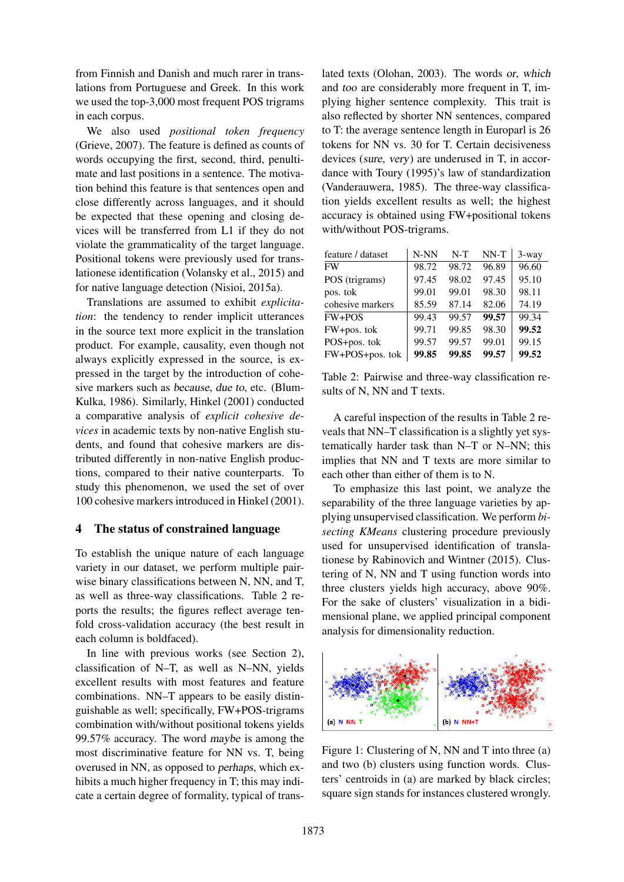from Finnish and Danish and much rarer in translations from Portuguese and Greek. In this work we used the top-3,000 most frequent POS trigrams in each corpus.

We also used *positional token frequency* (Grieve, 2007). The feature is defined as counts of words occupying the first, second, third, penultimate and last positions in a sentence. The motivation behind this feature is that sentences open and close differently across languages, and it should be expected that these opening and closing devices will be transferred from L1 if they do not violate the grammaticality of the target language. Positional tokens were previously used for translationese identification (Volansky et al., 2015) and for native language detection (Nisioi, 2015a).

Translations are assumed to exhibit *explicitation*: the tendency to render implicit utterances in the source text more explicit in the translation product. For example, causality, even though not always explicitly expressed in the source, is expressed in the target by the introduction of cohesive markers such as because, due to, etc. (Blum-Kulka, 1986). Similarly, Hinkel (2001) conducted a comparative analysis of *explicit cohesive devices* in academic texts by non-native English students, and found that cohesive markers are distributed differently in non-native English productions, compared to their native counterparts. To study this phenomenon, we used the set of over 100 cohesive markers introduced in Hinkel (2001).

#### 4 The status of constrained language

To establish the unique nature of each language variety in our dataset, we perform multiple pairwise binary classifications between N, NN, and T, as well as three-way classifications. Table 2 reports the results; the figures reflect average tenfold cross-validation accuracy (the best result in each column is boldfaced).

In line with previous works (see Section 2), classification of N–T, as well as N–NN, yields excellent results with most features and feature combinations. NN–T appears to be easily distinguishable as well; specifically, FW+POS-trigrams combination with/without positional tokens yields 99.57% accuracy. The word maybe is among the most discriminative feature for NN vs. T, being overused in NN, as opposed to perhaps, which exhibits a much higher frequency in T; this may indicate a certain degree of formality, typical of trans-

lated texts (Olohan, 2003). The words or, which and too are considerably more frequent in T, implying higher sentence complexity. This trait is also reflected by shorter NN sentences, compared to T: the average sentence length in Europarl is 26 tokens for NN vs. 30 for T. Certain decisiveness devices (sure, very) are underused in T, in accordance with Toury (1995)'s law of standardization (Vanderauwera, 1985). The three-way classification yields excellent results as well; the highest accuracy is obtained using FW+positional tokens with/without POS-trigrams.

| feature / dataset | N-NN  | $N-T$ | NN-T  | $3$ -way |
|-------------------|-------|-------|-------|----------|
| FW                | 98.72 | 98.72 | 96.89 | 96.60    |
| POS (trigrams)    | 97.45 | 98.02 | 97.45 | 95.10    |
| pos. tok          | 99.01 | 99.01 | 98.30 | 98.11    |
| cohesive markers  | 85.59 | 87.14 | 82.06 | 74.19    |
| FW+POS            | 99.43 | 99.57 | 99.57 | 99.34    |
| FW+pos. tok       | 99.71 | 99.85 | 98.30 | 99.52    |
| POS+pos. tok      | 99.57 | 99.57 | 99.01 | 99.15    |
| FW+POS+pos. tok   | 99.85 | 99.85 | 99.57 | 99.52    |

Table 2: Pairwise and three-way classification results of N, NN and T texts.

A careful inspection of the results in Table 2 reveals that NN–T classification is a slightly yet systematically harder task than N–T or N–NN; this implies that NN and T texts are more similar to each other than either of them is to N.

To emphasize this last point, we analyze the separability of the three language varieties by applying unsupervised classification. We perform *bisecting KMeans* clustering procedure previously used for unsupervised identification of translationese by Rabinovich and Wintner (2015). Clustering of N, NN and T using function words into three clusters yields high accuracy, above 90%. For the sake of clusters' visualization in a bidimensional plane, we applied principal component analysis for dimensionality reduction.



Figure 1: Clustering of N, NN and T into three (a) and two (b) clusters using function words. Clusters' centroids in (a) are marked by black circles; square sign stands for instances clustered wrongly.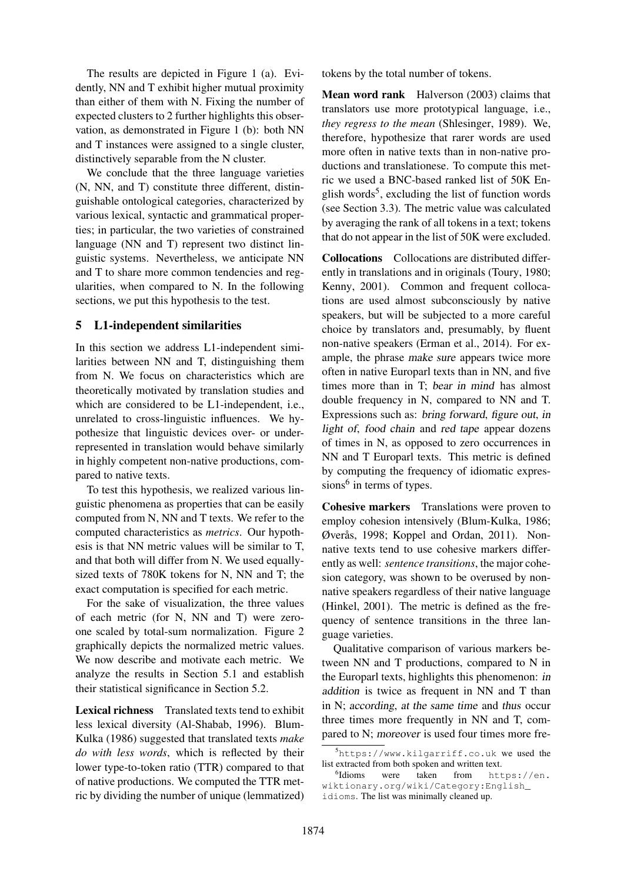The results are depicted in Figure 1 (a). Evidently, NN and T exhibit higher mutual proximity than either of them with N. Fixing the number of expected clusters to 2 further highlights this observation, as demonstrated in Figure 1 (b): both NN and T instances were assigned to a single cluster, distinctively separable from the N cluster.

We conclude that the three language varieties (N, NN, and T) constitute three different, distinguishable ontological categories, characterized by various lexical, syntactic and grammatical properties; in particular, the two varieties of constrained language (NN and T) represent two distinct linguistic systems. Nevertheless, we anticipate NN and T to share more common tendencies and regularities, when compared to N. In the following sections, we put this hypothesis to the test.

### 5 L1-independent similarities

In this section we address L1-independent similarities between NN and T, distinguishing them from N. We focus on characteristics which are theoretically motivated by translation studies and which are considered to be L1-independent, i.e., unrelated to cross-linguistic influences. We hypothesize that linguistic devices over- or underrepresented in translation would behave similarly in highly competent non-native productions, compared to native texts.

To test this hypothesis, we realized various linguistic phenomena as properties that can be easily computed from N, NN and T texts. We refer to the computed characteristics as *metrics*. Our hypothesis is that NN metric values will be similar to T, and that both will differ from N. We used equallysized texts of 780K tokens for N, NN and T; the exact computation is specified for each metric.

For the sake of visualization, the three values of each metric (for N, NN and T) were zeroone scaled by total-sum normalization. Figure 2 graphically depicts the normalized metric values. We now describe and motivate each metric. We analyze the results in Section 5.1 and establish their statistical significance in Section 5.2.

Lexical richness Translated texts tend to exhibit less lexical diversity (Al-Shabab, 1996). Blum-Kulka (1986) suggested that translated texts *make do with less words*, which is reflected by their lower type-to-token ratio (TTR) compared to that of native productions. We computed the TTR metric by dividing the number of unique (lemmatized) tokens by the total number of tokens.

Mean word rank Halverson (2003) claims that translators use more prototypical language, i.e., *they regress to the mean* (Shlesinger, 1989). We, therefore, hypothesize that rarer words are used more often in native texts than in non-native productions and translationese. To compute this metric we used a BNC-based ranked list of 50K English words<sup>5</sup>, excluding the list of function words (see Section 3.3). The metric value was calculated by averaging the rank of all tokens in a text; tokens that do not appear in the list of 50K were excluded.

Collocations Collocations are distributed differently in translations and in originals (Toury, 1980; Kenny, 2001). Common and frequent collocations are used almost subconsciously by native speakers, but will be subjected to a more careful choice by translators and, presumably, by fluent non-native speakers (Erman et al., 2014). For example, the phrase make sure appears twice more often in native Europarl texts than in NN, and five times more than in T; bear in mind has almost double frequency in N, compared to NN and T. Expressions such as: bring forward, figure out, in light of, food chain and red tape appear dozens of times in N, as opposed to zero occurrences in NN and T Europarl texts. This metric is defined by computing the frequency of idiomatic expressions<sup>6</sup> in terms of types.

Cohesive markers Translations were proven to employ cohesion intensively (Blum-Kulka, 1986;  $Q$ verås, 1998; Koppel and Ordan, 2011). Nonnative texts tend to use cohesive markers differently as well: *sentence transitions*, the major cohesion category, was shown to be overused by nonnative speakers regardless of their native language (Hinkel, 2001). The metric is defined as the frequency of sentence transitions in the three language varieties.

Qualitative comparison of various markers between NN and T productions, compared to N in the Europarl texts, highlights this phenomenon: in addition is twice as frequent in NN and T than in N; according, at the same time and thus occur three times more frequently in NN and T, compared to N; moreover is used four times more fre-

 $5$ https://www.kilgarriff.co.uk we used the list extracted from both spoken and written text.

<sup>&</sup>lt;sup>6</sup>Idioms were taken from https://en. wiktionary.org/wiki/Category:English\_ idioms. The list was minimally cleaned up.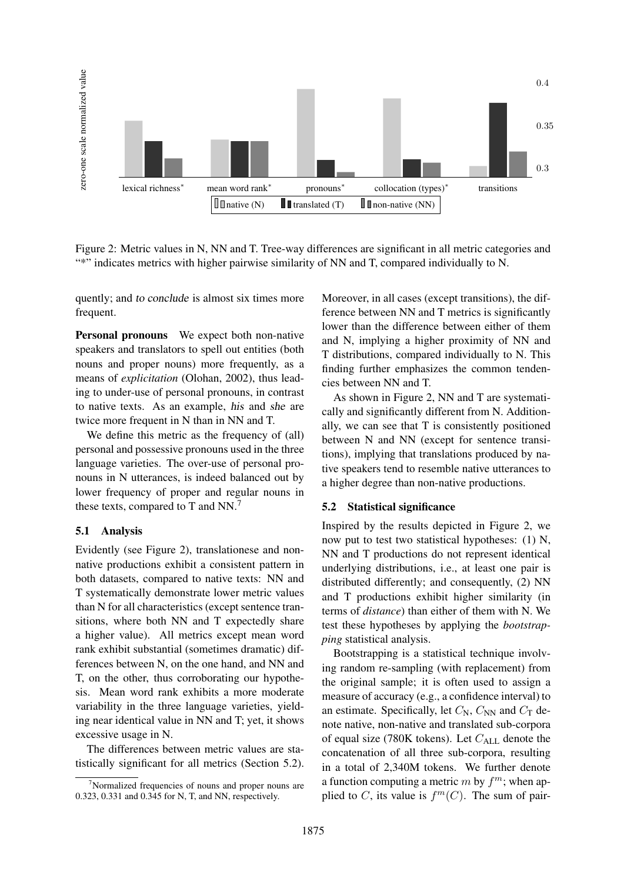

Figure 2: Metric values in N, NN and T. Tree-way differences are significant in all metric categories and "\*" indicates metrics with higher pairwise similarity of NN and T, compared individually to N.

quently; and to conclude is almost six times more frequent.

Personal pronouns We expect both non-native speakers and translators to spell out entities (both nouns and proper nouns) more frequently, as a means of *explicitation* (Olohan, 2002), thus leading to under-use of personal pronouns, in contrast to native texts. As an example, his and she are twice more frequent in N than in NN and T.

We define this metric as the frequency of (all) personal and possessive pronouns used in the three language varieties. The over-use of personal pronouns in N utterances, is indeed balanced out by lower frequency of proper and regular nouns in these texts, compared to T and NN.<sup>7</sup>

#### 5.1 Analysis

Evidently (see Figure 2), translationese and nonnative productions exhibit a consistent pattern in both datasets, compared to native texts: NN and T systematically demonstrate lower metric values than N for all characteristics (except sentence transitions, where both NN and T expectedly share a higher value). All metrics except mean word rank exhibit substantial (sometimes dramatic) differences between N, on the one hand, and NN and T, on the other, thus corroborating our hypothesis. Mean word rank exhibits a more moderate variability in the three language varieties, yielding near identical value in NN and T; yet, it shows excessive usage in N.

The differences between metric values are statistically significant for all metrics (Section 5.2). Moreover, in all cases (except transitions), the difference between NN and T metrics is significantly lower than the difference between either of them and N, implying a higher proximity of NN and T distributions, compared individually to N. This finding further emphasizes the common tendencies between NN and T.

As shown in Figure 2, NN and T are systematically and significantly different from N. Additionally, we can see that T is consistently positioned between N and NN (except for sentence transitions), implying that translations produced by native speakers tend to resemble native utterances to a higher degree than non-native productions.

#### 5.2 Statistical significance

Inspired by the results depicted in Figure 2, we now put to test two statistical hypotheses: (1) N, NN and T productions do not represent identical underlying distributions, i.e., at least one pair is distributed differently; and consequently, (2) NN and T productions exhibit higher similarity (in terms of *distance*) than either of them with N. We test these hypotheses by applying the *bootstrapping* statistical analysis.

Bootstrapping is a statistical technique involving random re-sampling (with replacement) from the original sample; it is often used to assign a measure of accuracy (e.g., a confidence interval) to an estimate. Specifically, let  $C_N$ ,  $C_{NN}$  and  $C_T$  denote native, non-native and translated sub-corpora of equal size (780K tokens). Let  $C_{ALL}$  denote the concatenation of all three sub-corpora, resulting in a total of 2,340M tokens. We further denote a function computing a metric  $m$  by  $f^m$ ; when applied to C, its value is  $f^m(C)$ . The sum of pair-

 $7$ Normalized frequencies of nouns and proper nouns are 0.323, 0.331 and 0.345 for N, T, and NN, respectively.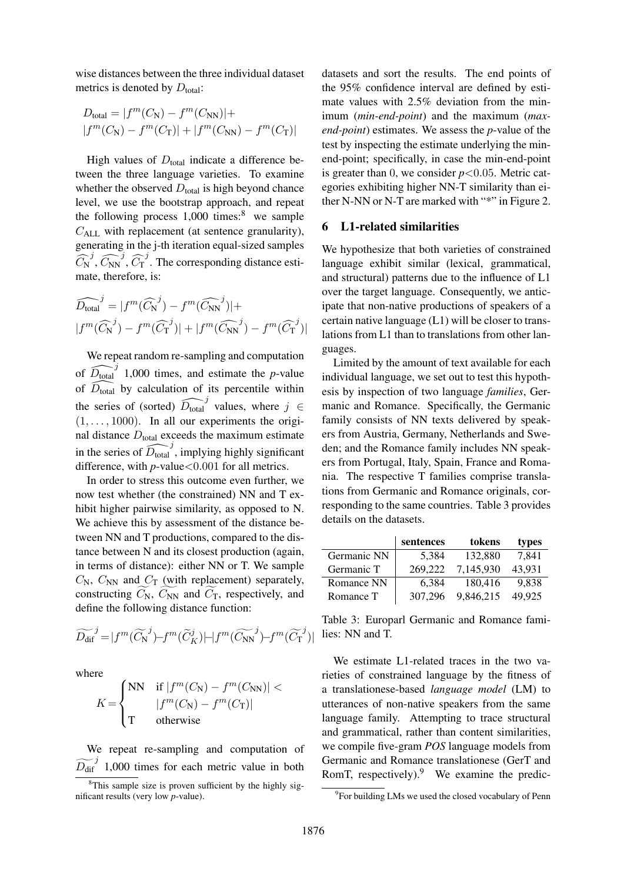wise distances between the three individual dataset metrics is denoted by  $D_{total}$ :

$$
D_{\text{total}} = |f^m(C_N) - f^m(C_{\text{NN}})| +
$$
  

$$
|f^m(C_N) - f^m(C_T)| + |f^m(C_{\text{NN}}) - f^m(C_T)|
$$

High values of  $D_{total}$  indicate a difference between the three language varieties. To examine whether the observed  $D_{total}$  is high beyond chance level, we use the bootstrap approach, and repeat the following process  $1,000$  times:<sup>8</sup> we sample  $C_{\text{ALL}}$  with replacement (at sentence granularity), generating in the j-th iteration equal-sized samples the  $C_A$  ger  $\widehat{C_N}$ j  $\mu$ , we<br>follow<br> $\mu$  with<br>rating<br> $\widehat{C_{NN}}$ j  $\frac{\text{log} \cdot \text{log}}{\text{repl}}$ <br>in the  $\sqrt{C_T}$  $j$ . The corresponding distance esti- $\overline{C_{\text{T}}}^j$ . The corresponding the corresponding  $m(\overline{C_{\text{N}}})^j - f^m(\overline{C_{\text{NN}}})$ 

$$
\begin{aligned}\n\text{mate, therefore, is:} \\
\widehat{D_{\text{total}}}^j &= |f^m(\widehat{C_N}^j) - f^m(\widehat{C_{\text{NN}}}^j)| + \\
|f^m(\widehat{C_N}^j) - f^m(\widehat{C_T}^j)| + |f^m(\widehat{C_{\text{NN}}}^j) - f^m(\widehat{C_T}^j)|\n\end{aligned}
$$

We repeat random re-sampling and computation of  $\widehat{D_{total}}^j$  1,000 times, and estimate the *p*-value of  $\widehat{D_{\text{total}}}$  by calculation of its percentile within the series of (sorted)  $\widehat{D_{total}}^j$  values, where  $j \in$  $(1, \ldots, 1000)$ . In all our experiments the original distance  $D_{\text{total}}$  exceeds the maximum estimate in the series of  $\widehat{D_{total}}^j$ , implying highly significant difference, with  $p$ -value $< 0.001$  for all metrics.

In order to stress this outcome even further, we now test whether (the constrained) NN and T exhibit higher pairwise similarity, as opposed to N. We achieve this by assessment of the distance between NN and T productions, compared to the distance between N and its closest production (again, in terms of distance): either NN or T. We sample  $C_N$ ,  $C_{NN}$  and  $C_T$  (with replacement) separately, tween NN and 1 productions, compared to the dis-<br>tance between N and its closest production (again,<br>in terms of distance): either NN or T. We sample<br> $C_N$ ,  $C_{NN}$  and  $C_T$  (with replacement) separately,<br>constructing  $\widetilde{$ define the following distance function:  $C_N$ ,  $C_{NN}$  and  $C_T$  (with replacement) separately<br>constructing  $\widetilde{C_N}$ ,  $\widetilde{C_{NN}}$  and  $\widetilde{C_T}$ , respectively, and<br>define the following distance function:<br> $\widetilde{D_{\text{dif}}}^j = |f^m(\widetilde{C_N}^j) - f^m(\widetilde{C_K})| + |f^m(\widetilde{C_{NN}}$ 

$$
\widetilde{D_{\text{dif}}}^j = |f^m(\widetilde{C_{\text{N}}}^j) - f^m(\widetilde{C}_{K}^j)| - |f^m(\widetilde{C_{\text{N}^N}}^j) - f^m(\widetilde{C_{\text{N}}}^j)|
$$

where

$$
K = \begin{cases} \text{NN} & \text{if } |f^m(C_\text{N}) - f^m(C_\text{NN})| < \\ & |f^m(C_\text{N}) - f^m(C_\text{T})| \\ \text{T} & \text{otherwise} \end{cases}
$$

We repeat re-sampling and computation of  $\frac{W}{D_{\text{dif}}}$  $j<sup>j</sup>$  1,000 times for each metric value in both

datasets and sort the results. The end points of the 95% confidence interval are defined by estimate values with 2.5% deviation from the minimum (*min-end-point*) and the maximum (*maxend-point*) estimates. We assess the *p*-value of the test by inspecting the estimate underlying the minend-point; specifically, in case the min-end-point is greater than 0, we consider  $p < 0.05$ . Metric categories exhibiting higher NN-T similarity than either N-NN or N-T are marked with "\*" in Figure 2.

### 6 L1-related similarities

We hypothesize that both varieties of constrained language exhibit similar (lexical, grammatical, and structural) patterns due to the influence of L1 over the target language. Consequently, we anticipate that non-native productions of speakers of a certain native language (L1) will be closer to translations from L1 than to translations from other languages.

Limited by the amount of text available for each individual language, we set out to test this hypothesis by inspection of two language *families*, Germanic and Romance. Specifically, the Germanic family consists of NN texts delivered by speakers from Austria, Germany, Netherlands and Sweden; and the Romance family includes NN speakers from Portugal, Italy, Spain, France and Romania. The respective T families comprise translations from Germanic and Romance originals, corresponding to the same countries. Table 3 provides details on the datasets.

|             | sentences | tokens    | types  |
|-------------|-----------|-----------|--------|
| Germanic NN | 5,384     | 132,880   | 7,841  |
| Germanic T  | 269,222   | 7.145.930 | 43.931 |
| Romance NN  | 6.384     | 180.416   | 9.838  |
| Romance T   | 307.296   | 9,846,215 | 49.925 |

Table 3: Europarl Germanic and Romance families: NN and T.

We estimate L1-related traces in the two varieties of constrained language by the fitness of a translationese-based *language model* (LM) to utterances of non-native speakers from the same language family. Attempting to trace structural and grammatical, rather than content similarities, we compile five-gram *POS* language models from Germanic and Romance translationese (GerT and RomT, respectively). $9$  We examine the predic-

 ${}^{8}$ This sample size is proven sufficient by the highly significant results (very low *p*-value).

<sup>&</sup>lt;sup>9</sup> For building LMs we used the closed vocabulary of Penn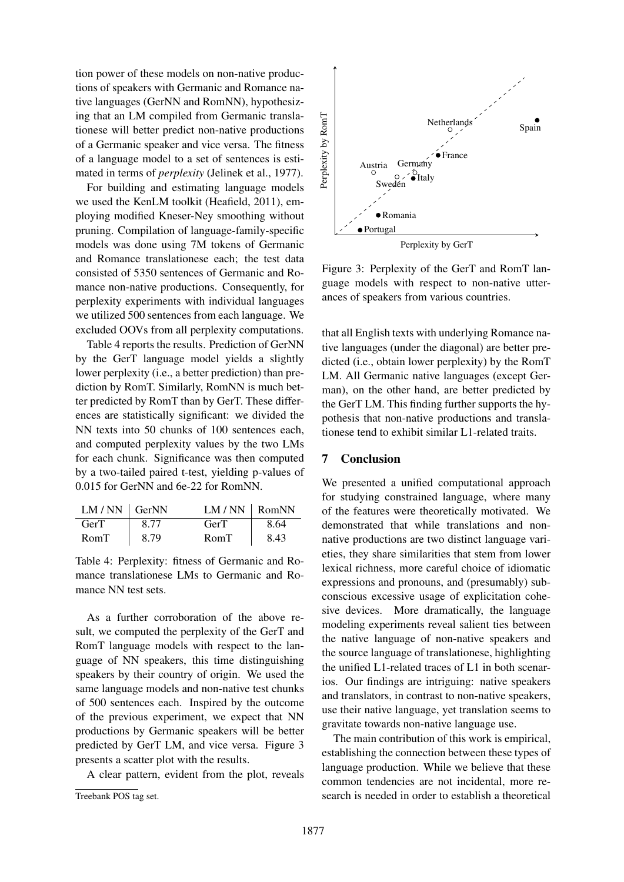tion power of these models on non-native productions of speakers with Germanic and Romance native languages (GerNN and RomNN), hypothesizing that an LM compiled from Germanic translationese will better predict non-native productions of a Germanic speaker and vice versa. The fitness of a language model to a set of sentences is estimated in terms of *perplexity* (Jelinek et al., 1977).

For building and estimating language models we used the KenLM toolkit (Heafield, 2011), employing modified Kneser-Ney smoothing without pruning. Compilation of language-family-specific models was done using 7M tokens of Germanic and Romance translationese each; the test data consisted of 5350 sentences of Germanic and Romance non-native productions. Consequently, for perplexity experiments with individual languages we utilized 500 sentences from each language. We excluded OOVs from all perplexity computations.

Table 4 reports the results. Prediction of GerNN by the GerT language model yields a slightly lower perplexity (i.e., a better prediction) than prediction by RomT. Similarly, RomNN is much better predicted by RomT than by GerT. These differences are statistically significant: we divided the NN texts into 50 chunks of 100 sentences each, and computed perplexity values by the two LMs for each chunk. Significance was then computed by a two-tailed paired t-test, yielding p-values of 0.015 for GerNN and 6e-22 for RomNN.

| $LM/NN$ GerNN |      | $LM/NN$ RomNN |      |
|---------------|------|---------------|------|
| <b>GerT</b>   | 8.77 | GerT          | 8.64 |
| RomT          | 8.79 | RomT          | 8.43 |

Table 4: Perplexity: fitness of Germanic and Romance translationese LMs to Germanic and Romance NN test sets.

As a further corroboration of the above result, we computed the perplexity of the GerT and RomT language models with respect to the language of NN speakers, this time distinguishing speakers by their country of origin. We used the same language models and non-native test chunks of 500 sentences each. Inspired by the outcome of the previous experiment, we expect that NN productions by Germanic speakers will be better predicted by GerT LM, and vice versa. Figure 3 presents a scatter plot with the results.

A clear pattern, evident from the plot, reveals



Figure 3: Perplexity of the GerT and RomT language models with respect to non-native utterances of speakers from various countries.

that all English texts with underlying Romance native languages (under the diagonal) are better predicted (i.e., obtain lower perplexity) by the RomT LM. All Germanic native languages (except German), on the other hand, are better predicted by the GerT LM. This finding further supports the hypothesis that non-native productions and translationese tend to exhibit similar L1-related traits.

### 7 Conclusion

We presented a unified computational approach for studying constrained language, where many of the features were theoretically motivated. We demonstrated that while translations and nonnative productions are two distinct language varieties, they share similarities that stem from lower lexical richness, more careful choice of idiomatic expressions and pronouns, and (presumably) subconscious excessive usage of explicitation cohesive devices. More dramatically, the language modeling experiments reveal salient ties between the native language of non-native speakers and the source language of translationese, highlighting the unified L1-related traces of L1 in both scenarios. Our findings are intriguing: native speakers and translators, in contrast to non-native speakers, use their native language, yet translation seems to gravitate towards non-native language use.

The main contribution of this work is empirical, establishing the connection between these types of language production. While we believe that these common tendencies are not incidental, more research is needed in order to establish a theoretical

Treebank POS tag set.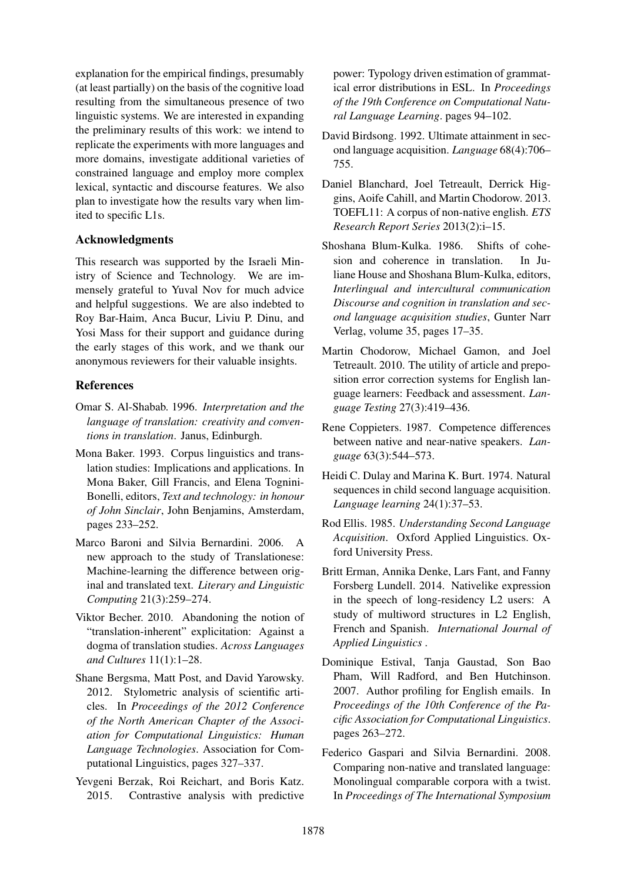explanation for the empirical findings, presumably (at least partially) on the basis of the cognitive load resulting from the simultaneous presence of two linguistic systems. We are interested in expanding the preliminary results of this work: we intend to replicate the experiments with more languages and more domains, investigate additional varieties of constrained language and employ more complex lexical, syntactic and discourse features. We also plan to investigate how the results vary when limited to specific L1s.

## Acknowledgments

This research was supported by the Israeli Ministry of Science and Technology. We are immensely grateful to Yuval Nov for much advice and helpful suggestions. We are also indebted to Roy Bar-Haim, Anca Bucur, Liviu P. Dinu, and Yosi Mass for their support and guidance during the early stages of this work, and we thank our anonymous reviewers for their valuable insights.

## References

- Omar S. Al-Shabab. 1996. *Interpretation and the language of translation: creativity and conventions in translation*. Janus, Edinburgh.
- Mona Baker. 1993. Corpus linguistics and translation studies: Implications and applications. In Mona Baker, Gill Francis, and Elena Tognini-Bonelli, editors, *Text and technology: in honour of John Sinclair*, John Benjamins, Amsterdam, pages 233–252.
- Marco Baroni and Silvia Bernardini. 2006. A new approach to the study of Translationese: Machine-learning the difference between original and translated text. *Literary and Linguistic Computing* 21(3):259–274.
- Viktor Becher. 2010. Abandoning the notion of "translation-inherent" explicitation: Against a dogma of translation studies. *Across Languages and Cultures* 11(1):1–28.
- Shane Bergsma, Matt Post, and David Yarowsky. 2012. Stylometric analysis of scientific articles. In *Proceedings of the 2012 Conference of the North American Chapter of the Association for Computational Linguistics: Human Language Technologies*. Association for Computational Linguistics, pages 327–337.
- Yevgeni Berzak, Roi Reichart, and Boris Katz. 2015. Contrastive analysis with predictive

power: Typology driven estimation of grammatical error distributions in ESL. In *Proceedings of the 19th Conference on Computational Natural Language Learning*. pages 94–102.

- David Birdsong. 1992. Ultimate attainment in second language acquisition. *Language* 68(4):706– 755.
- Daniel Blanchard, Joel Tetreault, Derrick Higgins, Aoife Cahill, and Martin Chodorow. 2013. TOEFL11: A corpus of non-native english. *ETS Research Report Series* 2013(2):i–15.
- Shoshana Blum-Kulka. 1986. Shifts of cohesion and coherence in translation. In Juliane House and Shoshana Blum-Kulka, editors, *Interlingual and intercultural communication Discourse and cognition in translation and second language acquisition studies*, Gunter Narr Verlag, volume 35, pages 17–35.
- Martin Chodorow, Michael Gamon, and Joel Tetreault. 2010. The utility of article and preposition error correction systems for English language learners: Feedback and assessment. *Language Testing* 27(3):419–436.
- Rene Coppieters. 1987. Competence differences between native and near-native speakers. *Language* 63(3):544–573.
- Heidi C. Dulay and Marina K. Burt. 1974. Natural sequences in child second language acquisition. *Language learning* 24(1):37–53.
- Rod Ellis. 1985. *Understanding Second Language Acquisition*. Oxford Applied Linguistics. Oxford University Press.
- Britt Erman, Annika Denke, Lars Fant, and Fanny Forsberg Lundell. 2014. Nativelike expression in the speech of long-residency L2 users: A study of multiword structures in L2 English, French and Spanish. *International Journal of Applied Linguistics* .
- Dominique Estival, Tanja Gaustad, Son Bao Pham, Will Radford, and Ben Hutchinson. 2007. Author profiling for English emails. In *Proceedings of the 10th Conference of the Pacific Association for Computational Linguistics*. pages 263–272.
- Federico Gaspari and Silvia Bernardini. 2008. Comparing non-native and translated language: Monolingual comparable corpora with a twist. In *Proceedings of The International Symposium*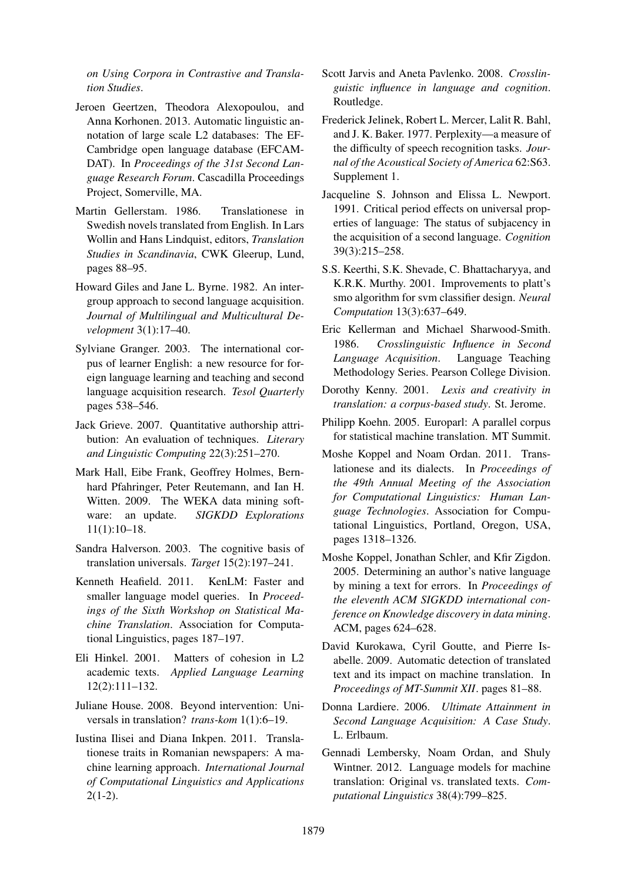*on Using Corpora in Contrastive and Translation Studies*.

- Jeroen Geertzen, Theodora Alexopoulou, and Anna Korhonen. 2013. Automatic linguistic annotation of large scale L2 databases: The EF-Cambridge open language database (EFCAM-DAT). In *Proceedings of the 31st Second Language Research Forum*. Cascadilla Proceedings Project, Somerville, MA.
- Martin Gellerstam. 1986. Translationese in Swedish novels translated from English. In Lars Wollin and Hans Lindquist, editors, *Translation Studies in Scandinavia*, CWK Gleerup, Lund, pages 88–95.
- Howard Giles and Jane L. Byrne. 1982. An intergroup approach to second language acquisition. *Journal of Multilingual and Multicultural Development* 3(1):17–40.
- Sylviane Granger. 2003. The international corpus of learner English: a new resource for foreign language learning and teaching and second language acquisition research. *Tesol Quarterly* pages 538–546.
- Jack Grieve. 2007. Quantitative authorship attribution: An evaluation of techniques. *Literary and Linguistic Computing* 22(3):251–270.
- Mark Hall, Eibe Frank, Geoffrey Holmes, Bernhard Pfahringer, Peter Reutemann, and Ian H. Witten. 2009. The WEKA data mining software: an update. *SIGKDD Explorations* 11(1):10–18.
- Sandra Halverson. 2003. The cognitive basis of translation universals. *Target* 15(2):197–241.
- Kenneth Heafield. 2011. KenLM: Faster and smaller language model queries. In *Proceedings of the Sixth Workshop on Statistical Machine Translation*. Association for Computational Linguistics, pages 187–197.
- Eli Hinkel. 2001. Matters of cohesion in L2 academic texts. *Applied Language Learning* 12(2):111–132.
- Juliane House. 2008. Beyond intervention: Universals in translation? *trans-kom* 1(1):6–19.
- Iustina Ilisei and Diana Inkpen. 2011. Translationese traits in Romanian newspapers: A machine learning approach. *International Journal of Computational Linguistics and Applications*  $2(1-2)$ .
- Scott Jarvis and Aneta Pavlenko. 2008. *Crosslinguistic influence in language and cognition*. Routledge.
- Frederick Jelinek, Robert L. Mercer, Lalit R. Bahl, and J. K. Baker. 1977. Perplexity—a measure of the difficulty of speech recognition tasks. *Journal of the Acoustical Society of America* 62:S63. Supplement 1.
- Jacqueline S. Johnson and Elissa L. Newport. 1991. Critical period effects on universal properties of language: The status of subjacency in the acquisition of a second language. *Cognition* 39(3):215–258.
- S.S. Keerthi, S.K. Shevade, C. Bhattacharyya, and K.R.K. Murthy. 2001. Improvements to platt's smo algorithm for svm classifier design. *Neural Computation* 13(3):637–649.
- Eric Kellerman and Michael Sharwood-Smith. 1986. *Crosslinguistic Influence in Second Language Acquisition*. Language Teaching Methodology Series. Pearson College Division.
- Dorothy Kenny. 2001. *Lexis and creativity in translation: a corpus-based study*. St. Jerome.
- Philipp Koehn. 2005. Europarl: A parallel corpus for statistical machine translation. MT Summit.
- Moshe Koppel and Noam Ordan. 2011. Translationese and its dialects. In *Proceedings of the 49th Annual Meeting of the Association for Computational Linguistics: Human Language Technologies*. Association for Computational Linguistics, Portland, Oregon, USA, pages 1318–1326.
- Moshe Koppel, Jonathan Schler, and Kfir Zigdon. 2005. Determining an author's native language by mining a text for errors. In *Proceedings of the eleventh ACM SIGKDD international conference on Knowledge discovery in data mining*. ACM, pages 624–628.
- David Kurokawa, Cyril Goutte, and Pierre Isabelle. 2009. Automatic detection of translated text and its impact on machine translation. In *Proceedings of MT-Summit XII*. pages 81–88.
- Donna Lardiere. 2006. *Ultimate Attainment in Second Language Acquisition: A Case Study*. L. Erlbaum.
- Gennadi Lembersky, Noam Ordan, and Shuly Wintner. 2012. Language models for machine translation: Original vs. translated texts. *Computational Linguistics* 38(4):799–825.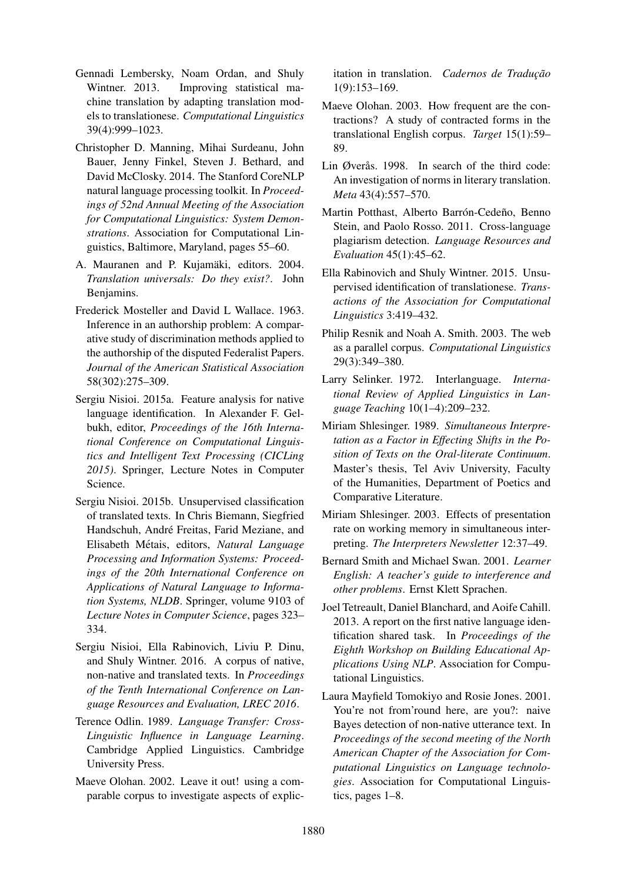- Gennadi Lembersky, Noam Ordan, and Shuly Wintner. 2013. Improving statistical machine translation by adapting translation models to translationese. *Computational Linguistics* 39(4):999–1023.
- Christopher D. Manning, Mihai Surdeanu, John Bauer, Jenny Finkel, Steven J. Bethard, and David McClosky. 2014. The Stanford CoreNLP natural language processing toolkit. In *Proceedings of 52nd Annual Meeting of the Association for Computational Linguistics: System Demonstrations*. Association for Computational Linguistics, Baltimore, Maryland, pages 55–60.
- A. Mauranen and P. Kujamäki, editors. 2004. *Translation universals: Do they exist?*. John Benjamins.
- Frederick Mosteller and David L Wallace. 1963. Inference in an authorship problem: A comparative study of discrimination methods applied to the authorship of the disputed Federalist Papers. *Journal of the American Statistical Association* 58(302):275–309.
- Sergiu Nisioi. 2015a. Feature analysis for native language identification. In Alexander F. Gelbukh, editor, *Proceedings of the 16th International Conference on Computational Linguistics and Intelligent Text Processing (CICLing 2015)*. Springer, Lecture Notes in Computer Science.
- Sergiu Nisioi. 2015b. Unsupervised classification of translated texts. In Chris Biemann, Siegfried Handschuh, André Freitas, Farid Meziane, and Elisabeth Métais, editors, Natural Language *Processing and Information Systems: Proceedings of the 20th International Conference on Applications of Natural Language to Information Systems, NLDB*. Springer, volume 9103 of *Lecture Notes in Computer Science*, pages 323– 334.
- Sergiu Nisioi, Ella Rabinovich, Liviu P. Dinu, and Shuly Wintner. 2016. A corpus of native, non-native and translated texts. In *Proceedings of the Tenth International Conference on Language Resources and Evaluation, LREC 2016*.
- Terence Odlin. 1989. *Language Transfer: Cross-Linguistic Influence in Language Learning*. Cambridge Applied Linguistics. Cambridge University Press.
- Maeve Olohan. 2002. Leave it out! using a comparable corpus to investigate aspects of explic-

itation in translation. *Cadernos de Tradução* 1(9):153–169.

- Maeve Olohan. 2003. How frequent are the contractions? A study of contracted forms in the translational English corpus. *Target* 15(1):59– 89.
- Lin Øverås. 1998. In search of the third code: An investigation of norms in literary translation. *Meta* 43(4):557–570.
- Martin Potthast, Alberto Barrón-Cedeño, Benno Stein, and Paolo Rosso. 2011. Cross-language plagiarism detection. *Language Resources and Evaluation* 45(1):45–62.
- Ella Rabinovich and Shuly Wintner. 2015. Unsupervised identification of translationese. *Transactions of the Association for Computational Linguistics* 3:419–432.
- Philip Resnik and Noah A. Smith. 2003. The web as a parallel corpus. *Computational Linguistics* 29(3):349–380.
- Larry Selinker. 1972. Interlanguage. *International Review of Applied Linguistics in Language Teaching* 10(1–4):209–232.
- Miriam Shlesinger. 1989. *Simultaneous Interpretation as a Factor in Effecting Shifts in the Position of Texts on the Oral-literate Continuum*. Master's thesis, Tel Aviv University, Faculty of the Humanities, Department of Poetics and Comparative Literature.
- Miriam Shlesinger. 2003. Effects of presentation rate on working memory in simultaneous interpreting. *The Interpreters Newsletter* 12:37–49.
- Bernard Smith and Michael Swan. 2001. *Learner English: A teacher's guide to interference and other problems*. Ernst Klett Sprachen.
- Joel Tetreault, Daniel Blanchard, and Aoife Cahill. 2013. A report on the first native language identification shared task. In *Proceedings of the Eighth Workshop on Building Educational Applications Using NLP*. Association for Computational Linguistics.
- Laura Mayfield Tomokiyo and Rosie Jones. 2001. You're not from'round here, are you?: naive Bayes detection of non-native utterance text. In *Proceedings of the second meeting of the North American Chapter of the Association for Computational Linguistics on Language technologies*. Association for Computational Linguistics, pages 1–8.